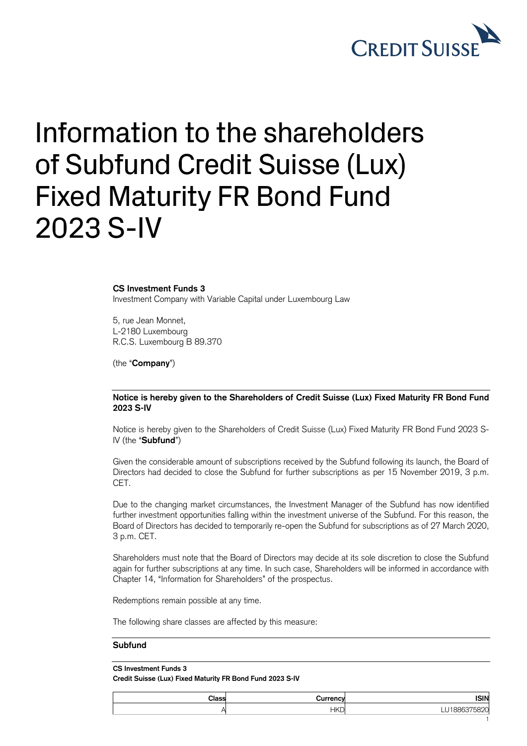

## Information to the shareholders of Subfund Credit Suisse (Lux) Fixed Maturity FR Bond Fund 2023 S-IV

## **CS Investment Funds 3**

Investment Company with Variable Capital under Luxembourg Law

5, rue Jean Monnet, L-2180 Luxembourg R.C.S. Luxembourg B 89.370

(the "**Company**")

**Notice is hereby given to the Shareholders of Credit Suisse (Lux) Fixed Maturity FR Bond Fund 2023 S-IV**

Notice is hereby given to the Shareholders of Credit Suisse (Lux) Fixed Maturity FR Bond Fund 2023 S-IV (the "**Subfund**")

Given the considerable amount of subscriptions received by the Subfund following its launch, the Board of Directors had decided to close the Subfund for further subscriptions as per 15 November 2019, 3 p.m. CET.

Due to the changing market circumstances, the Investment Manager of the Subfund has now identified further investment opportunities falling within the investment universe of the Subfund. For this reason, the Board of Directors has decided to temporarily re-open the Subfund for subscriptions as of 27 March 2020, 3 p.m. CET.

Shareholders must note that the Board of Directors may decide at its sole discretion to close the Subfund again for further subscriptions at any time. In such case, Shareholders will be informed in accordance with Chapter 14, "Information for Shareholders" of the prospectus.

Redemptions remain possible at any time.

The following share classes are affected by this measure:

## **Subfund**

**CS Investment Funds 3 Credit Suisse (Lux) Fixed Maturity FR Bond Fund 2023 S-IV**

| Class | urrency    | <b>ISIN</b>         |
|-------|------------|---------------------|
|       | <b>HKD</b> | $\sim$<br>hX'.<br>~ |